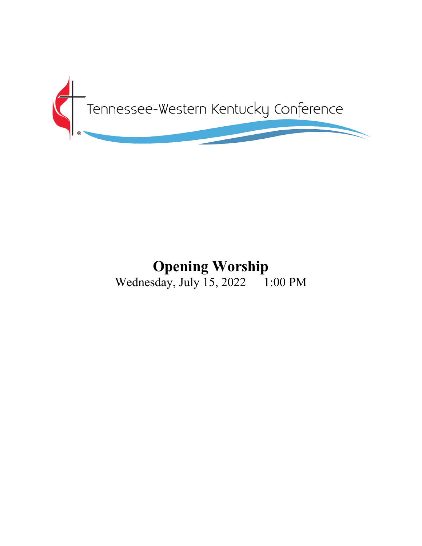

# **Opening Worship** Wednesday, July 15, 2022 1:00 PM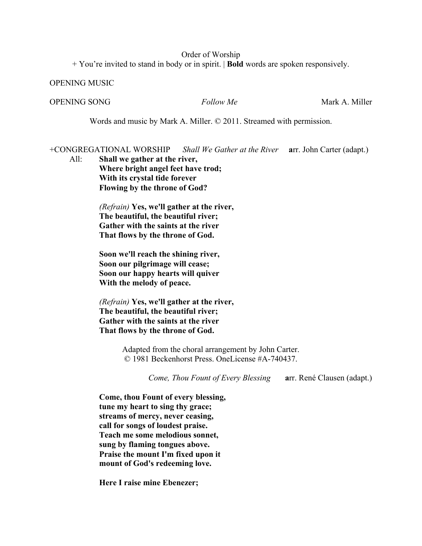# Order of Worship

+ You're invited to stand in body or in spirit. | **Bold** words are spoken responsively.

OPENING MUSIC

**OPENING SONG** *Follow Me* Mark A. Miller

Words and music by Mark A. Miller. © 2011. Streamed with permission.

+CONGREGATIONAL WORSHIP *Shall We Gather at the River* **a**rr. John Carter (adapt.)

All: **Shall we gather at the river, Where bright angel feet have trod; With its crystal tide forever Flowing by the throne of God?**

> *(Refrain)* **Yes, we'll gather at the river, The beautiful, the beautiful river; Gather with the saints at the river That flows by the throne of God.**

**Soon we'll reach the shining river, Soon our pilgrimage will cease; Soon our happy hearts will quiver With the melody of peace.**

*(Refrain)* **Yes, we'll gather at the river, The beautiful, the beautiful river; Gather with the saints at the river That flows by the throne of God.**

> Adapted from the choral arrangement by John Carter. © 1981 Beckenhorst Press. OneLicense #A-740437.

> > *Come, Thou Fount of Every Blessing* **a**rr. René Clausen (adapt.)

**Come, thou Fount of every blessing, tune my heart to sing thy grace; streams of mercy, never ceasing, call for songs of loudest praise. Teach me some melodious sonnet, sung by flaming tongues above. Praise the mount I'm fixed upon it mount of God's redeeming love.**

**Here I raise mine Ebenezer;**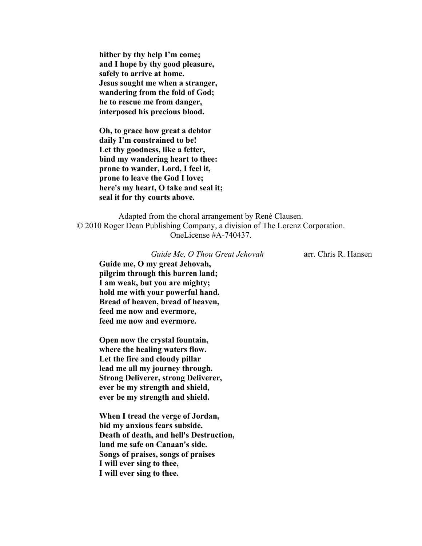**hither by thy help I'm come; and I hope by thy good pleasure, safely to arrive at home. Jesus sought me when a stranger, wandering from the fold of God; he to rescue me from danger, interposed his precious blood.**

**Oh, to grace how great a debtor daily I'm constrained to be! Let thy goodness, like a fetter, bind my wandering heart to thee: prone to wander, Lord, I feel it, prone to leave the God I love; here's my heart, O take and seal it; seal it for thy courts above.**

Adapted from the choral arrangement by René Clausen. © 2010 Roger Dean Publishing Company, a division of The Lorenz Corporation. OneLicense #A-740437.

# *Guide Me, O Thou Great Jehovah* **a**rr. Chris R. Hansen

**Guide me, O my great Jehovah, pilgrim through this barren land; I am weak, but you are mighty; hold me with your powerful hand. Bread of heaven, bread of heaven, feed me now and evermore, feed me now and evermore.**

**Open now the crystal fountain, where the healing waters flow. Let the fire and cloudy pillar lead me all my journey through. Strong Deliverer, strong Deliverer, ever be my strength and shield, ever be my strength and shield.**

**When I tread the verge of Jordan, bid my anxious fears subside. Death of death, and hell's Destruction, land me safe on Canaan's side. Songs of praises, songs of praises I will ever sing to thee, I will ever sing to thee.**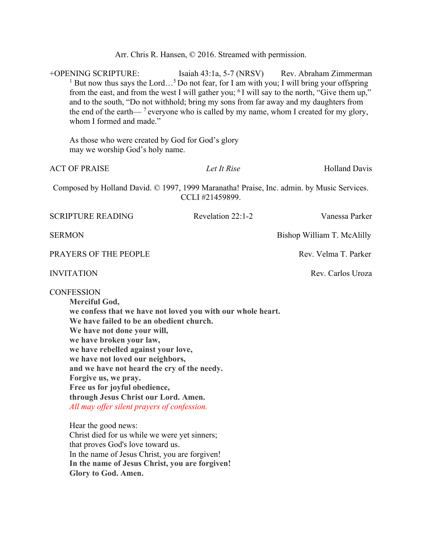Arr. Chris R. Hansen, © 2016. Streamed with permission.

+OPENING SCRIPTURE: Isaiah 43:1a, 5-7 (NRSV) Rev. Abraham Zimmerman <sup>1</sup> But now thus says the Lord...<sup>5</sup> Do not fear, for I am with you; I will bring your offspring from the east, and from the west I will gather you; <sup>6</sup>I will say to the north, "Give them up," and to the south, "Do not withhold; bring my sons from far away and my daughters from the end of the earth— 7 everyone who is called by my name, whom I created for my glory, whom I formed and made."

As those who were created by God for God's glory may we worship God's holy name.

| <b>ACT OF PRAISE</b>                                                                                                                                                                                                                                                                                                                                       | Let It Rise       | <b>Holland Davis</b>       |
|------------------------------------------------------------------------------------------------------------------------------------------------------------------------------------------------------------------------------------------------------------------------------------------------------------------------------------------------------------|-------------------|----------------------------|
| Composed by Holland David. © 1997, 1999 Maranatha! Praise, Inc. admin. by Music Services.                                                                                                                                                                                                                                                                  | CCLI #21459899.   |                            |
| <b>SCRIPTURE READING</b>                                                                                                                                                                                                                                                                                                                                   | Revelation 22:1-2 | Vanessa Parker             |
| <b>SERMON</b>                                                                                                                                                                                                                                                                                                                                              |                   | Bishop William T. McAlilly |
| PRAYERS OF THE PEOPLE                                                                                                                                                                                                                                                                                                                                      |                   | Rev. Velma T. Parker       |
| <b>INVITATION</b>                                                                                                                                                                                                                                                                                                                                          |                   | Rev. Carlos Uroza          |
| <b>CONFESSION</b><br>Merciful God,<br>we confess that we have not loved you with our whole heart.<br>We have failed to be an obedient church.<br>We have not done your will,<br>we have broken your law,<br>we have rebelled against your love,<br>we have not loved our neighbors,<br>and we have not heard the cry of the needy.<br>Forgive us, we pray. |                   |                            |

**Free us for joyful obedience, through Jesus Christ our Lord. Amen.** *All may offer silent prayers of confession.*

Hear the good news: Christ died for us while we were yet sinners; that proves God's love toward us. In the name of Jesus Christ, you are forgiven! **In the name of Jesus Christ, you are forgiven! Glory to God. Amen.**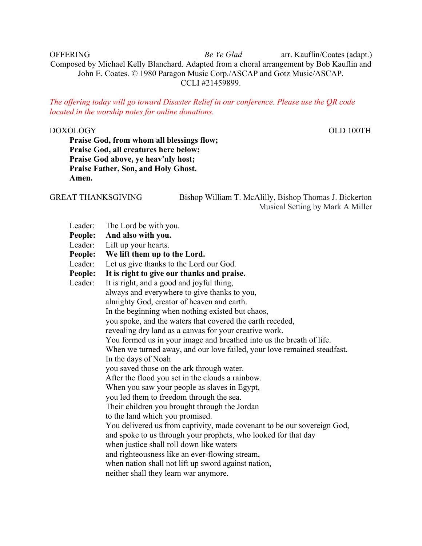OFFERING *Be Ye Glad* arr. Kauflin/Coates (adapt.) Composed by Michael Kelly Blanchard. Adapted from a choral arrangement by Bob Kauflin and John E. Coates. © 1980 Paragon Music Corp./ASCAP and Gotz Music/ASCAP. CCLI #21459899.

*The offering today will go toward Disaster Relief in our conference. Please use the QR code located in the worship notes for online donations.*

# DOXOLOGY OLD 100TH

**Praise God, from whom all blessings flow; Praise God, all creatures here below; Praise God above, ye heav'nly host; Praise Father, Son, and Holy Ghost. Amen.**

GREAT THANKSGIVING Bishop William T. McAlilly, Bishop Thomas J. Bickerton Musical Setting by Mark A Miller

| Leader: | The Lord be with you.                                                   |
|---------|-------------------------------------------------------------------------|
| People: | And also with you.                                                      |
| Leader: | Lift up your hearts.                                                    |
| People: | We lift them up to the Lord.                                            |
| Leader: | Let us give thanks to the Lord our God.                                 |
| People: | It is right to give our thanks and praise.                              |
| Leader: | It is right, and a good and joyful thing,                               |
|         | always and everywhere to give thanks to you,                            |
|         | almighty God, creator of heaven and earth.                              |
|         | In the beginning when nothing existed but chaos,                        |
|         | you spoke, and the waters that covered the earth receded,               |
|         | revealing dry land as a canvas for your creative work.                  |
|         | You formed us in your image and breathed into us the breath of life.    |
|         | When we turned away, and our love failed, your love remained steadfast. |
|         | In the days of Noah                                                     |
|         | you saved those on the ark through water.                               |
|         | After the flood you set in the clouds a rainbow.                        |
|         | When you saw your people as slaves in Egypt,                            |
|         | you led them to freedom through the sea.                                |
|         | Their children you brought through the Jordan                           |
|         | to the land which you promised.                                         |
|         | You delivered us from captivity, made covenant to be our sovereign God, |
|         | and spoke to us through your prophets, who looked for that day          |
|         | when justice shall roll down like waters                                |
|         | and righteousness like an ever-flowing stream,                          |
|         | when nation shall not lift up sword against nation,                     |
|         | neither shall they learn war anymore.                                   |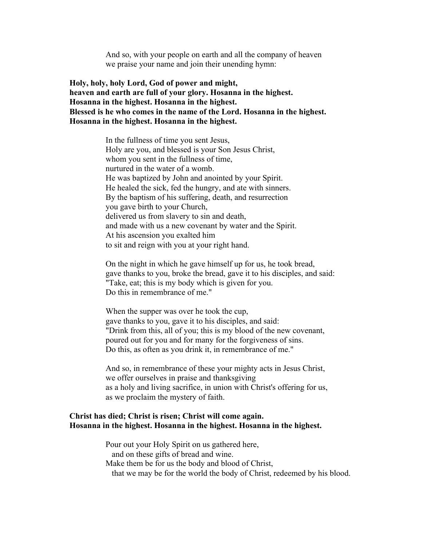And so, with your people on earth and all the company of heaven we praise your name and join their unending hymn:

**Holy, holy, holy Lord, God of power and might, heaven and earth are full of your glory. Hosanna in the highest. Hosanna in the highest. Hosanna in the highest. Blessed is he who comes in the name of the Lord. Hosanna in the highest. Hosanna in the highest. Hosanna in the highest.**

> In the fullness of time you sent Jesus, Holy are you, and blessed is your Son Jesus Christ, whom you sent in the fullness of time, nurtured in the water of a womb. He was baptized by John and anointed by your Spirit. He healed the sick, fed the hungry, and ate with sinners. By the baptism of his suffering, death, and resurrection you gave birth to your Church, delivered us from slavery to sin and death, and made with us a new covenant by water and the Spirit. At his ascension you exalted him to sit and reign with you at your right hand.

On the night in which he gave himself up for us, he took bread, gave thanks to you, broke the bread, gave it to his disciples, and said: "Take, eat; this is my body which is given for you. Do this in remembrance of me."

When the supper was over he took the cup, gave thanks to you, gave it to his disciples, and said: "Drink from this, all of you; this is my blood of the new covenant, poured out for you and for many for the forgiveness of sins. Do this, as often as you drink it, in remembrance of me."

And so, in remembrance of these your mighty acts in Jesus Christ, we offer ourselves in praise and thanksgiving as a holy and living sacrifice, in union with Christ's offering for us, as we proclaim the mystery of faith.

# **Christ has died; Christ is risen; Christ will come again. Hosanna in the highest. Hosanna in the highest. Hosanna in the highest.**

Pour out your Holy Spirit on us gathered here, and on these gifts of bread and wine. Make them be for us the body and blood of Christ, that we may be for the world the body of Christ, redeemed by his blood.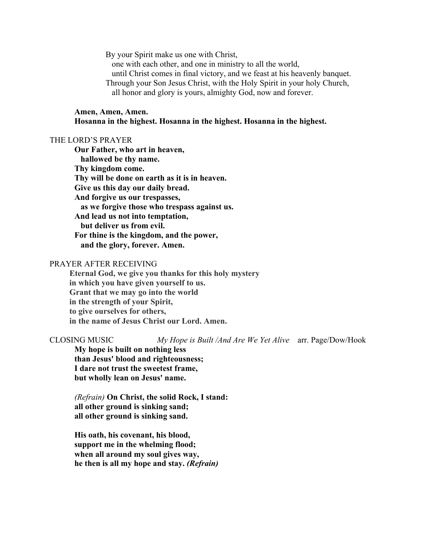By your Spirit make us one with Christ,

 one with each other, and one in ministry to all the world, until Christ comes in final victory, and we feast at his heavenly banquet. Through your Son Jesus Christ, with the Holy Spirit in your holy Church, all honor and glory is yours, almighty God, now and forever.

# **Amen, Amen, Amen. Hosanna in the highest. Hosanna in the highest. Hosanna in the highest.**

### THE LORD'S PRAYER

**Our Father, who art in heaven, hallowed be thy name. Thy kingdom come. Thy will be done on earth as it is in heaven. Give us this day our daily bread. And forgive us our trespasses, as we forgive those who trespass against us. And lead us not into temptation, but deliver us from evil. For thine is the kingdom, and the power, and the glory, forever. Amen.**

### PRAYER AFTER RECEIVING

**Eternal God, we give you thanks for this holy mystery in which you have given yourself to us. Grant that we may go into the world in the strength of your Spirit, to give ourselves for others, in the name of Jesus Christ our Lord. Amen.**

CLOSING MUSIC *My Hope is Built /And Are We Yet Alive* arr. Page/Dow/Hook

**My hope is built on nothing less than Jesus' blood and righteousness; I dare not trust the sweetest frame, but wholly lean on Jesus' name.**

*(Refrain)* **On Christ, the solid Rock, I stand: all other ground is sinking sand; all other ground is sinking sand.**

**His oath, his covenant, his blood, support me in the whelming flood; when all around my soul gives way, he then is all my hope and stay.** *(Refrain)*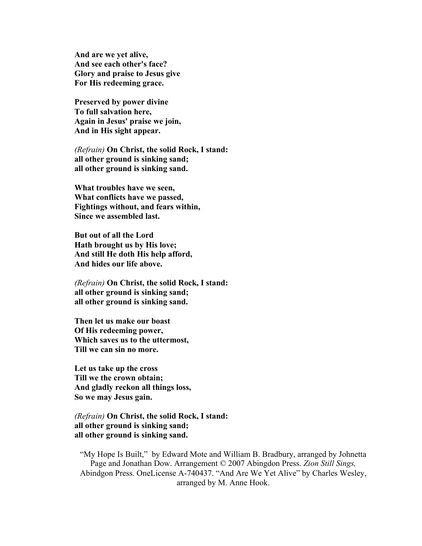**And are we yet alive, And see each other's face? Glory and praise to Jesus give For His redeeming grace.**

**Preserved by power divine To full salvation here, Again in Jesus' praise we join, And in His sight appear.**

*(Refrain)* **On Christ, the solid Rock, I stand: all other ground is sinking sand; all other ground is sinking sand.**

**What troubles have we seen, What conflicts have we passed, Fightings without, and fears within, Since we assembled last.**

**But out of all the Lord Hath brought us by His love; And still He doth His help afford, And hides our life above.**

*(Refrain)* **On Christ, the solid Rock, I stand: all other ground is sinking sand; all other ground is sinking sand.**

**Then let us make our boast Of His redeeming power, Which saves us to the uttermost, Till we can sin no more.**

**Let us take up the cross Till we the crown obtain; And gladly reckon all things loss, So we may Jesus gain.**

*(Refrain)* **On Christ, the solid Rock, I stand: all other ground is sinking sand; all other ground is sinking sand.**

"My Hope Is Built," by Edward Mote and William B. Bradbury, arranged by Johnetta Page and Jonathan Dow. Arrangement © 2007 Abingdon Press. *Zion Still Sings,*  Abindgon Press. OneLicense A-740437. "And Are We Yet Alive" by Charles Wesley, arranged by M. Anne Hook.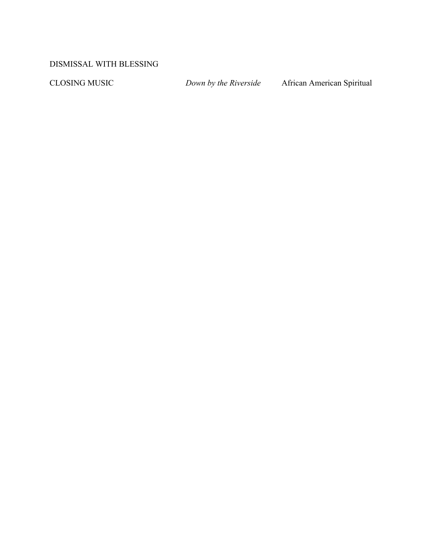DISMISSAL WITH BLESSING

CLOSING MUSIC *Down by the Riverside* African American Spiritual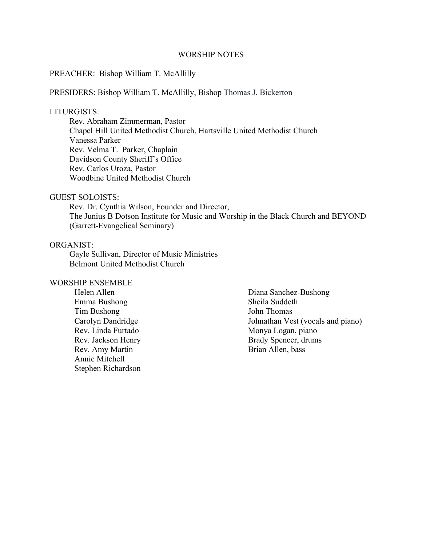### WORSHIP NOTES

### PREACHER: Bishop William T. McAllilly

# PRESIDERS: Bishop William T. McAllilly, Bishop Thomas J. Bickerton

# LITURGISTS:

Rev. Abraham Zimmerman, Pastor Chapel Hill United Methodist Church, Hartsville United Methodist Church Vanessa Parker Rev. Velma T. Parker, Chaplain Davidson County Sheriff's Office Rev. Carlos Uroza, Pastor Woodbine United Methodist Church

### GUEST SOLOISTS:

Rev. Dr. Cynthia Wilson, Founder and Director, The Junius B Dotson Institute for Music and Worship in the Black Church and BEYOND (Garrett-Evangelical Seminary)

# ORGANIST:

Gayle Sullivan, Director of Music Ministries Belmont United Methodist Church

### WORSHIP ENSEMBLE

Helen Allen Emma Bushong Tim Bushong Carolyn Dandridge Rev. Linda Furtado Rev. Jackson Henry Rev. Amy Martin Annie Mitchell Stephen Richardson Diana Sanchez-Bushong Sheila Suddeth John Thomas Johnathan Vest (vocals and piano) Monya Logan, piano Brady Spencer, drums Brian Allen, bass